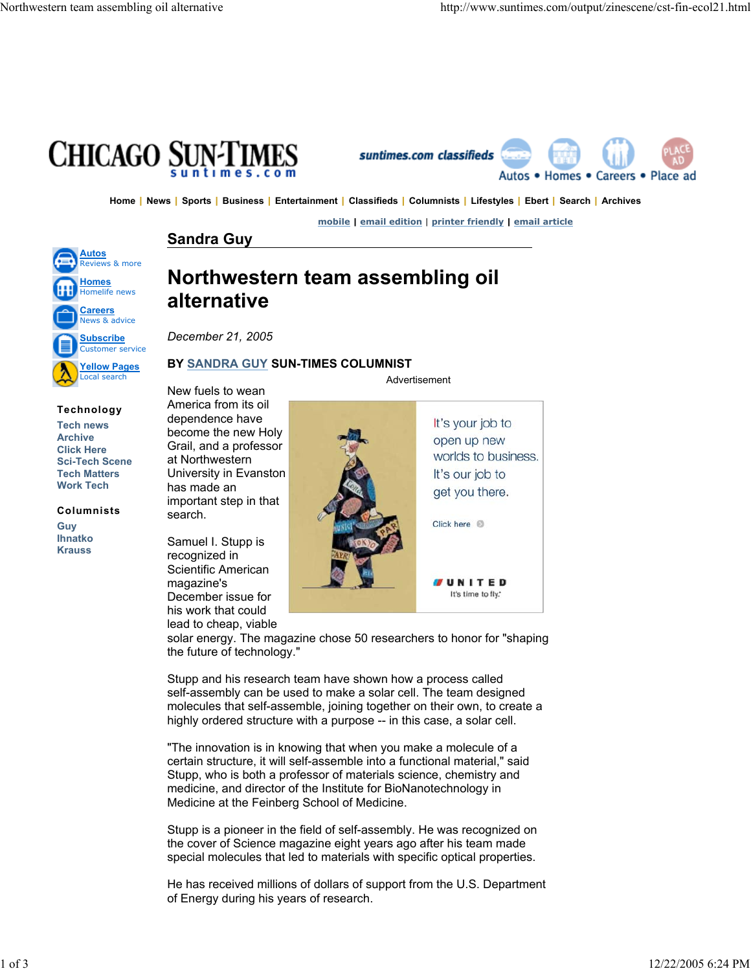



Home | News | Sports | Business | Entertainment | Classifieds | Columnists | Lifestyles | Ebert | Search | Archives

**mobile | email edition** | **printer friendly | email article**

## **Sandra Guy**



**Technology Tech news Archive Click Here Sci-Tech Scene Tech Matters Work Tech**

**Columnists**

**Guy Ihnatko Krauss**

# **Northwestern team assembling oil alternative**

*December 21, 2005*

## **BY SANDRA GUY SUN-TIMES COLUMNIST**

New fuels to wean America from its oil dependence have become the new Holy Grail, and a professor at Northwestern University in Evanston has made an important step in that search.

Samuel I. Stupp is recognized in Scientific American magazine's December issue for his work that could lead to cheap, viable Advertisement



solar energy. The magazine chose 50 researchers to honor for "shaping the future of technology."

Stupp and his research team have shown how a process called self-assembly can be used to make a solar cell. The team designed molecules that self-assemble, joining together on their own, to create a highly ordered structure with a purpose -- in this case, a solar cell.

"The innovation is in knowing that when you make a molecule of a certain structure, it will self-assemble into a functional material," said Stupp, who is both a professor of materials science, chemistry and medicine, and director of the Institute for BioNanotechnology in Medicine at the Feinberg School of Medicine.

Stupp is a pioneer in the field of self-assembly. He was recognized on the cover of Science magazine eight years ago after his team made special molecules that led to materials with specific optical properties.

He has received millions of dollars of support from the U.S. Department of Energy during his years of research.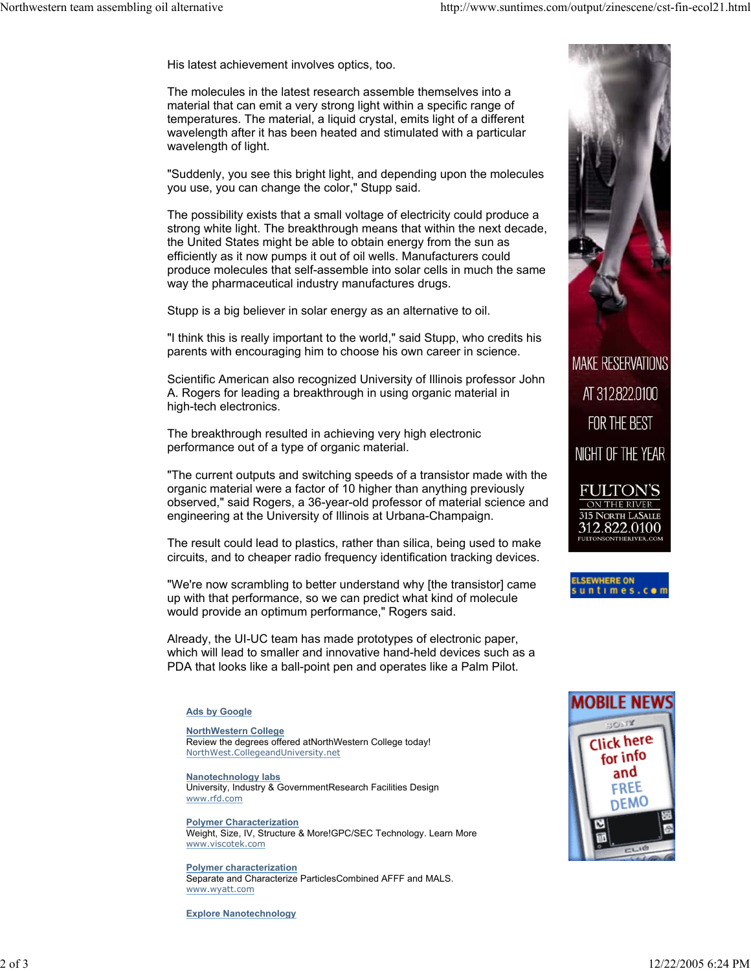His latest achievement involves optics, too.

The molecules in the latest research assemble themselves into a material that can emit a very strong light within a specific range of temperatures. The material, a liquid crystal, emits light of a different wavelength after it has been heated and stimulated with a particular wavelength of light.

"Suddenly, you see this bright light, and depending upon the molecules you use, you can change the color," Stupp said.

The possibility exists that a small voltage of electricity could produce a strong white light. The breakthrough means that within the next decade, the United States might be able to obtain energy from the sun as efficiently as it now pumps it out of oil wells. Manufacturers could produce molecules that self-assemble into solar cells in much the same way the pharmaceutical industry manufactures drugs.

Stupp is a big believer in solar energy as an alternative to oil.

"I think this is really important to the world," said Stupp, who credits his parents with encouraging him to choose his own career in science.

Scientific American also recognized University of Illinois professor John A. Rogers for leading a breakthrough in using organic material in high-tech electronics.

The breakthrough resulted in achieving very high electronic performance out of a type of organic material.

"The current outputs and switching speeds of a transistor made with the organic material were a factor of 10 higher than anything previously observed," said Rogers, a 36-year-old professor of material science and engineering at the University of Illinois at Urbana-Champaign.

The result could lead to plastics, rather than silica, being used to make circuits, and to cheaper radio frequency identification tracking devices.

"We're now scrambling to better understand why [the transistor] came up with that performance, so we can predict what kind of molecule would provide an optimum performance," Rogers said.

Already, the UI-UC team has made prototypes of electronic paper, which will lead to smaller and innovative hand-held devices such as a PDA that looks like a ball-point pen and operates like a Palm Pilot.

#### **Ads by Google**

### **NorthWestern College**

Review the degrees offered atNorthWestern College today! NorthWest.CollegeandUniversity.net

**Nanotechnology labs** University, Industry & GovernmentResearch Facilities Design www.rfd.com

**Polymer Characterization** Weight, Size, IV, Structure & More!GPC/SEC Technology. Learn More www.viscotek.com

**Polymer characterization** Separate and Characterize ParticlesCombined AFFF and MALS. www.wyatt.com

**Explore Nanotechnology**